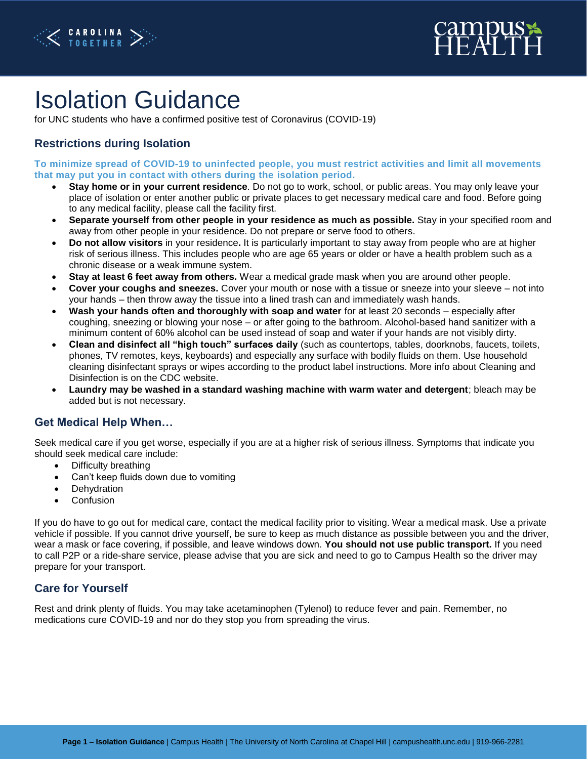



# Isolation Guidance

for UNC students who have a confirmed positive test of Coronavirus (COVID-19)

### **Restrictions during Isolation**

**To minimize spread of COVID-19 to uninfected people, you must restrict activities and limit all movements that may put you in contact with others during the isolation period.**

- **Stay home or in your current residence**. Do not go to work, school, or public areas. You may only leave your place of isolation or enter another public or private places to get necessary medical care and food. Before going to any medical facility, please call the facility first.
- **Separate yourself from other people in your residence as much as possible.** Stay in your specified room and away from other people in your residence. Do not prepare or serve food to others.
- **Do not allow visitors** in your residence**.** It is particularly important to stay away from people who are at higher risk of serious illness. This includes people who are age 65 years or older or have a health problem such as a chronic disease or a weak immune system.
- **Stay at least 6 feet away from others.** Wear a medical grade mask when you are around other people.
- **Cover your coughs and sneezes.** Cover your mouth or nose with a tissue or sneeze into your sleeve not into your hands – then throw away the tissue into a lined trash can and immediately wash hands.
- **Wash your hands often and thoroughly with soap and water** for at least 20 seconds especially after coughing, sneezing or blowing your nose – or after going to the bathroom. Alcohol-based hand sanitizer with a minimum content of 60% alcohol can be used instead of soap and water if your hands are not visibly dirty.
- **Clean and disinfect all "high touch" surfaces daily** (such as countertops, tables, doorknobs, faucets, toilets, phones, TV remotes, keys, keyboards) and especially any surface with bodily fluids on them. Use household cleaning disinfectant sprays or wipes according to the product label instructions. More info about Cleaning and Disinfection is on the CDC website.
- **Laundry may be washed in a standard washing machine with warm water and detergent**; bleach may be added but is not necessary.

#### **Get Medical Help When…**

Seek medical care if you get worse, especially if you are at a higher risk of serious illness. Symptoms that indicate you should seek medical care include:

- Difficulty breathing
- Can't keep fluids down due to vomiting
- Dehydration
- Confusion

If you do have to go out for medical care, contact the medical facility prior to visiting. Wear a medical mask. Use a private vehicle if possible. If you cannot drive yourself, be sure to keep as much distance as possible between you and the driver, wear a mask or face covering, if possible, and leave windows down. **You should not use public transport.** If you need to call P2P or a ride-share service, please advise that you are sick and need to go to Campus Health so the driver may prepare for your transport.

#### **Care for Yourself**

Rest and drink plenty of fluids. You may take acetaminophen (Tylenol) to reduce fever and pain. Remember, no medications cure COVID-19 and nor do they stop you from spreading the virus.